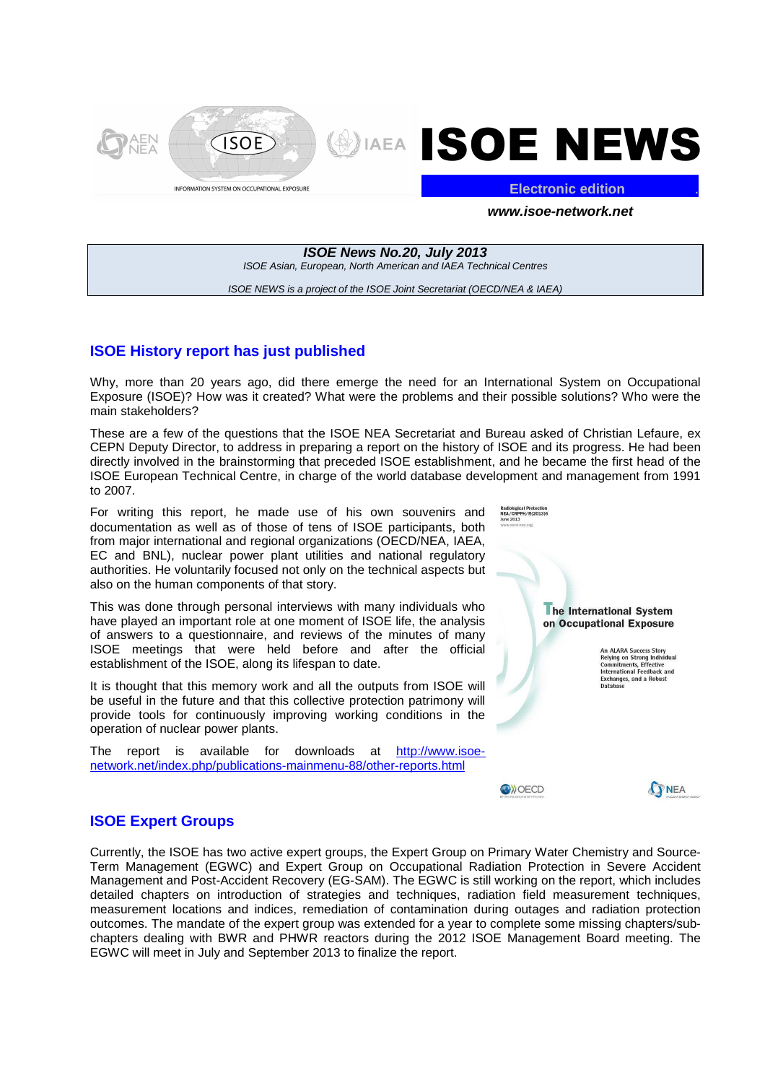



**Electronic edition** .

**www.isoe-network.net** 

**ISOE News No.20, July 2013**  ISOE Asian, European, North American and IAEA Technical Centres

ISOE NEWS is a project of the ISOE Joint Secretariat (OECD/NEA & IAEA)

# **ISOE History report has just published**

Why, more than 20 years ago, did there emerge the need for an International System on Occupational Exposure (ISOE)? How was it created? What were the problems and their possible solutions? Who were the main stakeholders?

These are a few of the questions that the ISOE NEA Secretariat and Bureau asked of Christian Lefaure, ex CEPN Deputy Director, to address in preparing a report on the history of ISOE and its progress. He had been directly involved in the brainstorming that preceded ISOE establishment, and he became the first head of the ISOE European Technical Centre, in charge of the world database development and management from 1991 to 2007.

For writing this report, he made use of his own souvenirs and documentation as well as of those of tens of ISOE participants, both from major international and regional organizations (OECD/NEA, IAEA, EC and BNL), nuclear power plant utilities and national regulatory authorities. He voluntarily focused not only on the technical aspects but also on the human components of that story.

This was done through personal interviews with many individuals who have played an important role at one moment of ISOE life, the analysis of answers to a questionnaire, and reviews of the minutes of many ISOE meetings that were held before and after the official establishment of the ISOE, along its lifespan to date.

It is thought that this memory work and all the outputs from ISOE will be useful in the future and that this collective protection patrimony will provide tools for continuously improving working conditions in the operation of nuclear power plants.

The report is available for downloads at http://www.isoenetwork.net/index.php/publications-mainmenu-88/other-reports.html



**T**NEA

**O**DOECD

# **ISOE Expert Groups**

Currently, the ISOE has two active expert groups, the Expert Group on Primary Water Chemistry and Source-Term Management (EGWC) and Expert Group on Occupational Radiation Protection in Severe Accident Management and Post-Accident Recovery (EG-SAM). The EGWC is still working on the report, which includes detailed chapters on introduction of strategies and techniques, radiation field measurement techniques, measurement locations and indices, remediation of contamination during outages and radiation protection outcomes. The mandate of the expert group was extended for a year to complete some missing chapters/subchapters dealing with BWR and PHWR reactors during the 2012 ISOE Management Board meeting. The EGWC will meet in July and September 2013 to finalize the report.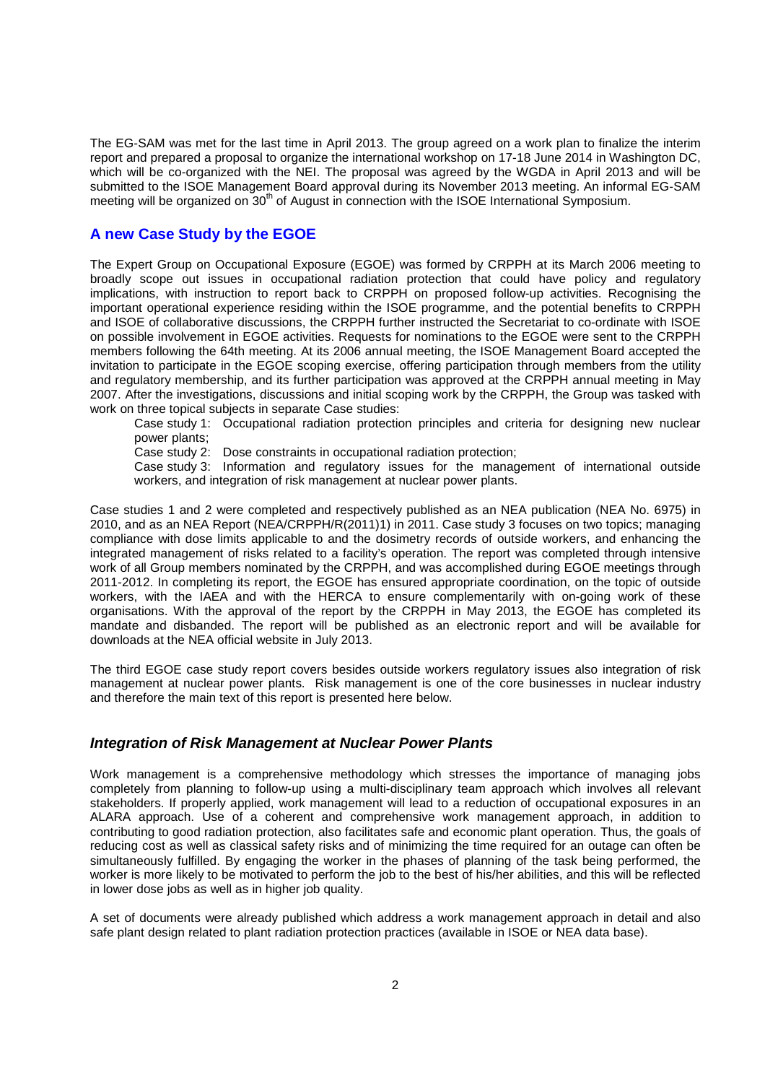The EG-SAM was met for the last time in April 2013. The group agreed on a work plan to finalize the interim report and prepared a proposal to organize the international workshop on 17-18 June 2014 in Washington DC, which will be co-organized with the NEI. The proposal was agreed by the WGDA in April 2013 and will be submitted to the ISOE Management Board approval during its November 2013 meeting. An informal EG-SAM meeting will be organized on 30<sup>th</sup> of August in connection with the ISOE International Symposium.

# **A new Case Study by the EGOE**

The Expert Group on Occupational Exposure (EGOE) was formed by CRPPH at its March 2006 meeting to broadly scope out issues in occupational radiation protection that could have policy and regulatory implications, with instruction to report back to CRPPH on proposed follow-up activities. Recognising the important operational experience residing within the ISOE programme, and the potential benefits to CRPPH and ISOE of collaborative discussions, the CRPPH further instructed the Secretariat to co-ordinate with ISOE on possible involvement in EGOE activities. Requests for nominations to the EGOE were sent to the CRPPH members following the 64th meeting. At its 2006 annual meeting, the ISOE Management Board accepted the invitation to participate in the EGOE scoping exercise, offering participation through members from the utility and regulatory membership, and its further participation was approved at the CRPPH annual meeting in May 2007. After the investigations, discussions and initial scoping work by the CRPPH, the Group was tasked with work on three topical subjects in separate Case studies:

Case study 1: Occupational radiation protection principles and criteria for designing new nuclear power plants;

Case study 2: Dose constraints in occupational radiation protection;

Case study 3: Information and regulatory issues for the management of international outside workers, and integration of risk management at nuclear power plants.

Case studies 1 and 2 were completed and respectively published as an NEA publication (NEA No. 6975) in 2010, and as an NEA Report (NEA/CRPPH/R(2011)1) in 2011. Case study 3 focuses on two topics; managing compliance with dose limits applicable to and the dosimetry records of outside workers, and enhancing the integrated management of risks related to a facility's operation. The report was completed through intensive work of all Group members nominated by the CRPPH, and was accomplished during EGOE meetings through 2011-2012. In completing its report, the EGOE has ensured appropriate coordination, on the topic of outside workers, with the IAEA and with the HERCA to ensure complementarily with on-going work of these organisations. With the approval of the report by the CRPPH in May 2013, the EGOE has completed its mandate and disbanded. The report will be published as an electronic report and will be available for downloads at the NEA official website in July 2013.

The third EGOE case study report covers besides outside workers regulatory issues also integration of risk management at nuclear power plants. Risk management is one of the core businesses in nuclear industry and therefore the main text of this report is presented here below.

## **Integration of Risk Management at Nuclear Power Plants**

Work management is a comprehensive methodology which stresses the importance of managing jobs completely from planning to follow-up using a multi-disciplinary team approach which involves all relevant stakeholders. If properly applied, work management will lead to a reduction of occupational exposures in an ALARA approach. Use of a coherent and comprehensive work management approach, in addition to contributing to good radiation protection, also facilitates safe and economic plant operation. Thus, the goals of reducing cost as well as classical safety risks and of minimizing the time required for an outage can often be simultaneously fulfilled. By engaging the worker in the phases of planning of the task being performed, the worker is more likely to be motivated to perform the job to the best of his/her abilities, and this will be reflected in lower dose jobs as well as in higher job quality.

A set of documents were already published which address a work management approach in detail and also safe plant design related to plant radiation protection practices (available in ISOE or NEA data base).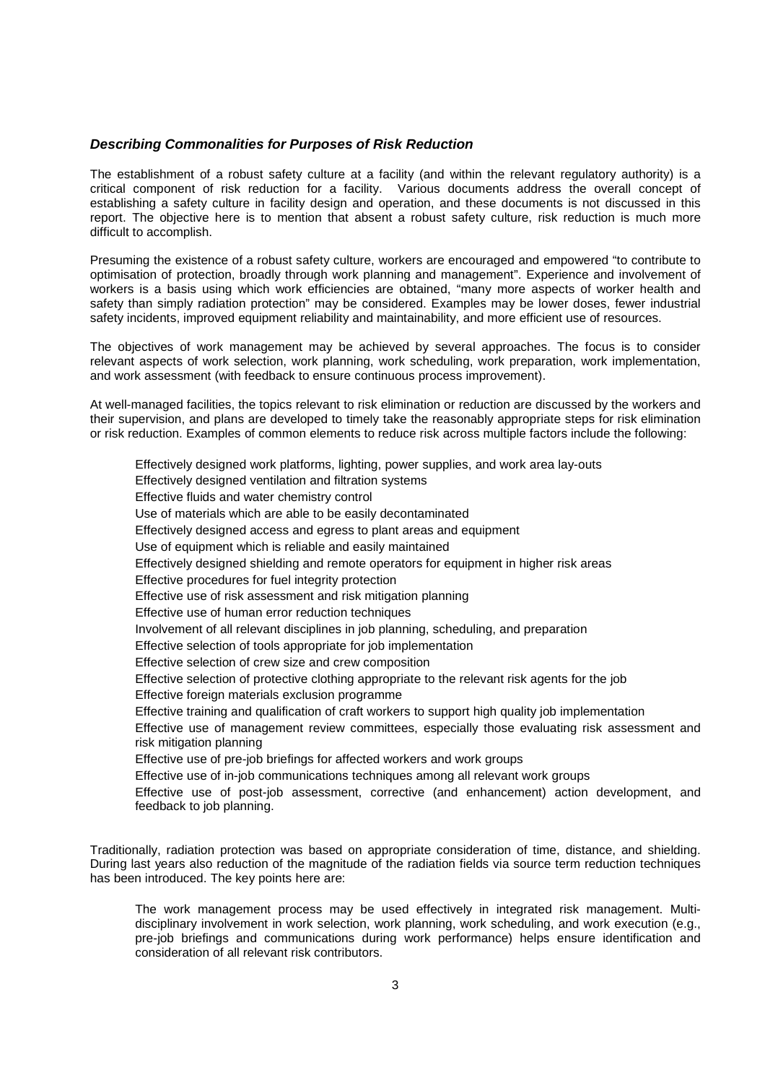### **Describing Commonalities for Purposes of Risk Reduction**

The establishment of a robust safety culture at a facility (and within the relevant regulatory authority) is a critical component of risk reduction for a facility. Various documents address the overall concept of establishing a safety culture in facility design and operation, and these documents is not discussed in this report. The objective here is to mention that absent a robust safety culture, risk reduction is much more difficult to accomplish.

Presuming the existence of a robust safety culture, workers are encouraged and empowered "to contribute to optimisation of protection, broadly through work planning and management". Experience and involvement of workers is a basis using which work efficiencies are obtained, "many more aspects of worker health and safety than simply radiation protection" may be considered. Examples may be lower doses, fewer industrial safety incidents, improved equipment reliability and maintainability, and more efficient use of resources.

The objectives of work management may be achieved by several approaches. The focus is to consider relevant aspects of work selection, work planning, work scheduling, work preparation, work implementation, and work assessment (with feedback to ensure continuous process improvement).

At well-managed facilities, the topics relevant to risk elimination or reduction are discussed by the workers and their supervision, and plans are developed to timely take the reasonably appropriate steps for risk elimination or risk reduction. Examples of common elements to reduce risk across multiple factors include the following:

- Effectively designed work platforms, lighting, power supplies, and work area lay-outs
- **Effectively designed ventilation and filtration systems**
- Effective fluids and water chemistry control
- Use of materials which are able to be easily decontaminated
- Effectively designed access and egress to plant areas and equipment
- Use of equipment which is reliable and easily maintained
- Effectively designed shielding and remote operators for equipment in higher risk areas
- **Effective procedures for fuel integrity protection**
- Effective use of risk assessment and risk mitigation planning
- Effective use of human error reduction techniques
- Involvement of all relevant disciplines in job planning, scheduling, and preparation
- Effective selection of tools appropriate for job implementation
- Effective selection of crew size and crew composition
- Effective selection of protective clothing appropriate to the relevant risk agents for the job
- Effective foreign materials exclusion programme
- Effective training and qualification of craft workers to support high quality job implementation
- Effective use of management review committees, especially those evaluating risk assessment and risk mitigation planning
- Effective use of pre-job briefings for affected workers and work groups
- Effective use of in-job communications techniques among all relevant work groups
- Effective use of post-job assessment, corrective (and enhancement) action development, and feedback to job planning.

Traditionally, radiation protection was based on appropriate consideration of time, distance, and shielding. During last years also reduction of the magnitude of the radiation fields via source term reduction techniques has been introduced. The key points here are:

 The work management process may be used effectively in integrated risk management. Multidisciplinary involvement in work selection, work planning, work scheduling, and work execution (e.g., pre-job briefings and communications during work performance) helps ensure identification and consideration of all relevant risk contributors.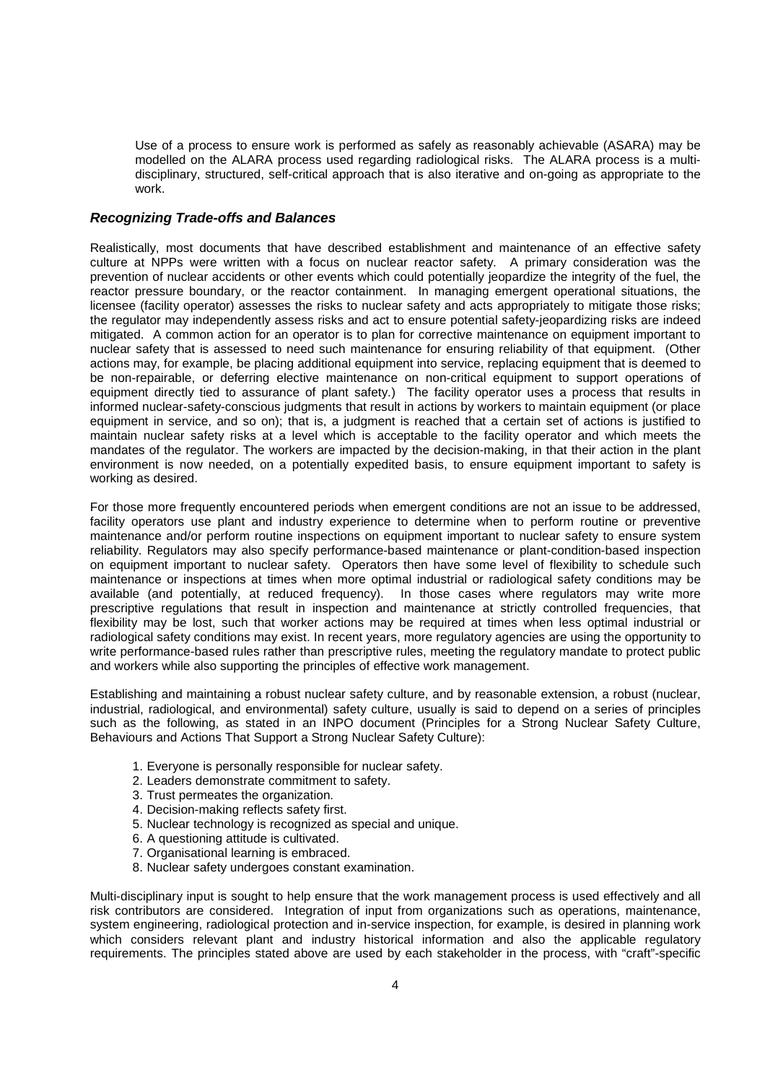Use of a process to ensure work is performed as safely as reasonably achievable (ASARA) may be modelled on the ALARA process used regarding radiological risks. The ALARA process is a multidisciplinary, structured, self-critical approach that is also iterative and on-going as appropriate to the work.

### **Recognizing Trade-offs and Balances**

Realistically, most documents that have described establishment and maintenance of an effective safety culture at NPPs were written with a focus on nuclear reactor safety. A primary consideration was the prevention of nuclear accidents or other events which could potentially jeopardize the integrity of the fuel, the reactor pressure boundary, or the reactor containment. In managing emergent operational situations, the licensee (facility operator) assesses the risks to nuclear safety and acts appropriately to mitigate those risks; the regulator may independently assess risks and act to ensure potential safety-jeopardizing risks are indeed mitigated. A common action for an operator is to plan for corrective maintenance on equipment important to nuclear safety that is assessed to need such maintenance for ensuring reliability of that equipment. (Other actions may, for example, be placing additional equipment into service, replacing equipment that is deemed to be non-repairable, or deferring elective maintenance on non-critical equipment to support operations of equipment directly tied to assurance of plant safety.) The facility operator uses a process that results in informed nuclear-safety-conscious judgments that result in actions by workers to maintain equipment (or place equipment in service, and so on); that is, a judgment is reached that a certain set of actions is justified to maintain nuclear safety risks at a level which is acceptable to the facility operator and which meets the mandates of the regulator. The workers are impacted by the decision-making, in that their action in the plant environment is now needed, on a potentially expedited basis, to ensure equipment important to safety is working as desired.

For those more frequently encountered periods when emergent conditions are not an issue to be addressed, facility operators use plant and industry experience to determine when to perform routine or preventive maintenance and/or perform routine inspections on equipment important to nuclear safety to ensure system reliability. Regulators may also specify performance-based maintenance or plant-condition-based inspection on equipment important to nuclear safety. Operators then have some level of flexibility to schedule such maintenance or inspections at times when more optimal industrial or radiological safety conditions may be available (and potentially, at reduced frequency). In those cases where regulators may write more prescriptive regulations that result in inspection and maintenance at strictly controlled frequencies, that flexibility may be lost, such that worker actions may be required at times when less optimal industrial or radiological safety conditions may exist. In recent years, more regulatory agencies are using the opportunity to write performance-based rules rather than prescriptive rules, meeting the regulatory mandate to protect public and workers while also supporting the principles of effective work management.

Establishing and maintaining a robust nuclear safety culture, and by reasonable extension, a robust (nuclear, industrial, radiological, and environmental) safety culture, usually is said to depend on a series of principles such as the following, as stated in an INPO document (Principles for a Strong Nuclear Safety Culture, Behaviours and Actions That Support a Strong Nuclear Safety Culture):

- 1. Everyone is personally responsible for nuclear safety.
- 2. Leaders demonstrate commitment to safety.
- 3. Trust permeates the organization.
- 4. Decision-making reflects safety first.
- 5. Nuclear technology is recognized as special and unique.
- 6. A questioning attitude is cultivated.
- 7. Organisational learning is embraced.
- 8. Nuclear safety undergoes constant examination.

Multi-disciplinary input is sought to help ensure that the work management process is used effectively and all risk contributors are considered. Integration of input from organizations such as operations, maintenance, system engineering, radiological protection and in-service inspection, for example, is desired in planning work which considers relevant plant and industry historical information and also the applicable regulatory requirements. The principles stated above are used by each stakeholder in the process, with "craft"-specific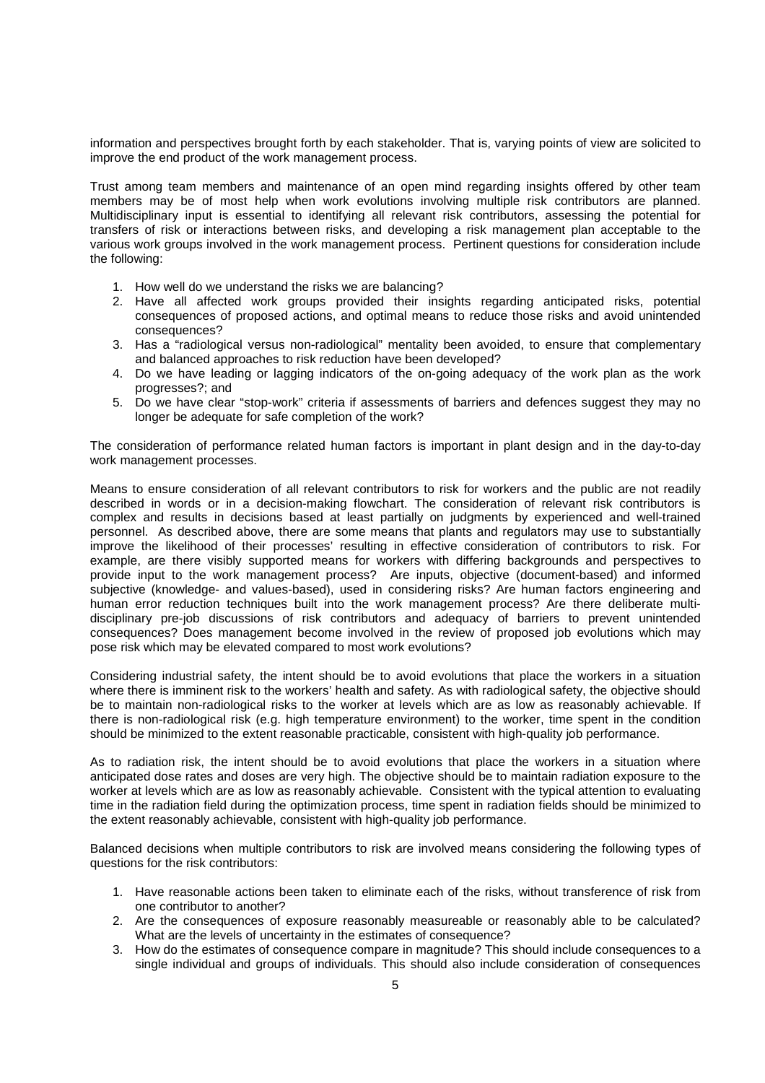information and perspectives brought forth by each stakeholder. That is, varying points of view are solicited to improve the end product of the work management process.

Trust among team members and maintenance of an open mind regarding insights offered by other team members may be of most help when work evolutions involving multiple risk contributors are planned. Multidisciplinary input is essential to identifying all relevant risk contributors, assessing the potential for transfers of risk or interactions between risks, and developing a risk management plan acceptable to the various work groups involved in the work management process. Pertinent questions for consideration include the following:

- 1. How well do we understand the risks we are balancing?
- 2. Have all affected work groups provided their insights regarding anticipated risks, potential consequences of proposed actions, and optimal means to reduce those risks and avoid unintended consequences?
- 3. Has a "radiological versus non-radiological" mentality been avoided, to ensure that complementary and balanced approaches to risk reduction have been developed?
- 4. Do we have leading or lagging indicators of the on-going adequacy of the work plan as the work progresses?; and
- 5. Do we have clear "stop-work" criteria if assessments of barriers and defences suggest they may no longer be adequate for safe completion of the work?

The consideration of performance related human factors is important in plant design and in the day-to-day work management processes.

Means to ensure consideration of all relevant contributors to risk for workers and the public are not readily described in words or in a decision-making flowchart. The consideration of relevant risk contributors is complex and results in decisions based at least partially on judgments by experienced and well-trained personnel. As described above, there are some means that plants and regulators may use to substantially improve the likelihood of their processes' resulting in effective consideration of contributors to risk. For example, are there visibly supported means for workers with differing backgrounds and perspectives to provide input to the work management process? Are inputs, objective (document-based) and informed subjective (knowledge- and values-based), used in considering risks? Are human factors engineering and human error reduction techniques built into the work management process? Are there deliberate multidisciplinary pre-job discussions of risk contributors and adequacy of barriers to prevent unintended consequences? Does management become involved in the review of proposed job evolutions which may pose risk which may be elevated compared to most work evolutions?

Considering industrial safety, the intent should be to avoid evolutions that place the workers in a situation where there is imminent risk to the workers' health and safety. As with radiological safety, the objective should be to maintain non-radiological risks to the worker at levels which are as low as reasonably achievable. If there is non-radiological risk (e.g. high temperature environment) to the worker, time spent in the condition should be minimized to the extent reasonable practicable, consistent with high-quality job performance.

As to radiation risk, the intent should be to avoid evolutions that place the workers in a situation where anticipated dose rates and doses are very high. The objective should be to maintain radiation exposure to the worker at levels which are as low as reasonably achievable. Consistent with the typical attention to evaluating time in the radiation field during the optimization process, time spent in radiation fields should be minimized to the extent reasonably achievable, consistent with high-quality job performance.

Balanced decisions when multiple contributors to risk are involved means considering the following types of questions for the risk contributors:

- 1. Have reasonable actions been taken to eliminate each of the risks, without transference of risk from one contributor to another?
- 2. Are the consequences of exposure reasonably measureable or reasonably able to be calculated? What are the levels of uncertainty in the estimates of consequence?
- 3. How do the estimates of consequence compare in magnitude? This should include consequences to a single individual and groups of individuals. This should also include consideration of consequences